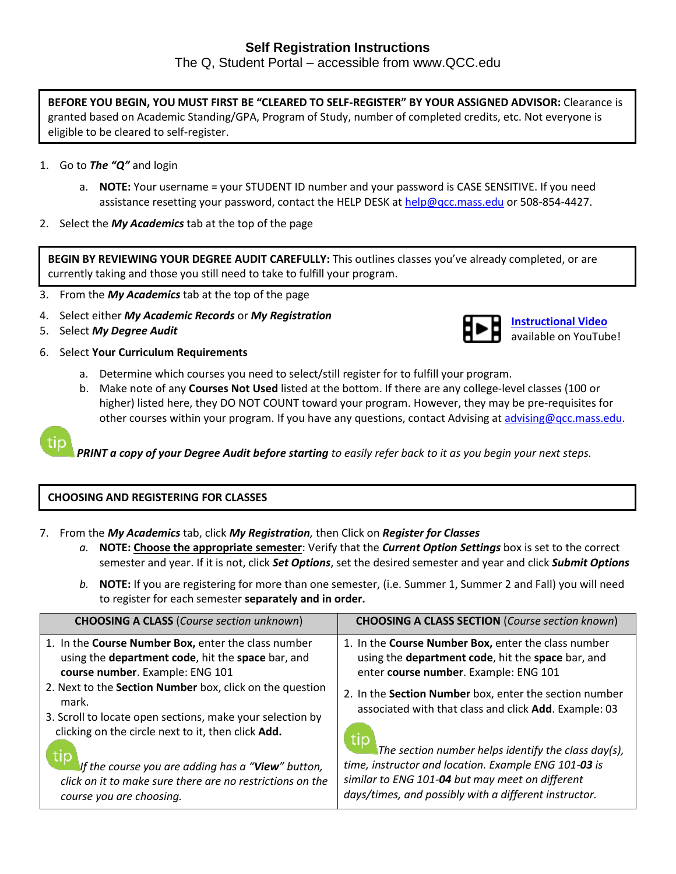The Q, Student Portal – accessible from www.QCC.edu

**BEFORE YOU BEGIN, YOU MUST FIRST BE "CLEARED TO SELF-REGISTER" BY YOUR ASSIGNED ADVISOR:** Clearance is granted based on Academic Standing/GPA, Program of Study, number of completed credits, etc. Not everyone is eligible to be cleared to self-register.

- 1. Go to *The "Q"* and login
	- a. **NOTE:** Your username = your STUDENT ID number and your password is CASE SENSITIVE. If you need assistance resetting your password, contact the HELP DESK at [help@qcc.mass.edu](mailto:help@qcc.mass.edu) or 508-854-4427.
- 2. Select the *My Academics* tab at the top of the page

**BEGIN BY REVIEWING YOUR DEGREE AUDIT CAREFULLY:** This outlines classes you've already completed, or are currently taking and those you still need to take to fulfill your program.

- 3. From the *My Academics* tab at the top of the page
- 4. Select either *My Academic Records* or *My Registration*



**[Instructional Video](https://www.youtube.com/watch?v=nY2SteEwIMo)** available on YouTube!

- 5. Select *My Degree Audit*
- 6. Select **Your Curriculum Requirements**
	- a. Determine which courses you need to select/still register for to fulfill your program.
	- b. Make note of any **Courses Not Used** listed at the bottom. If there are any college-level classes (100 or higher) listed here, they DO NOT COUNT toward your program. However, they may be pre-requisites for other courses within your program. If you have any questions, contact Advising at [advising@qcc.mass.edu.](mailto:advising@qcc.mass.edu)

*PRINT a copy of your Degree Audit before starting to easily refer back to it as you begin your next steps.*

## **CHOOSING AND REGISTERING FOR CLASSES**

7. From the *My Academics* tab, click *My Registration,* then Click on *Register for Classes*

- *a.* **NOTE: Choose the appropriate semester**: Verify that the *Current Option Settings* box is set to the correct semester and year. If it is not, click *Set Options*, set the desired semester and year and click *Submit Options*
- *b.* **NOTE:** If you are registering for more than one semester, (i.e. Summer 1, Summer 2 and Fall) you will need to register for each semester **separately and in order.**

| <b>CHOOSING A CLASS (Course section unknown)</b>                                                                                                                                     | <b>CHOOSING A CLASS SECTION (Course section known)</b>                                                                                                                                                                  |
|--------------------------------------------------------------------------------------------------------------------------------------------------------------------------------------|-------------------------------------------------------------------------------------------------------------------------------------------------------------------------------------------------------------------------|
| 1. In the Course Number Box, enter the class number<br>using the department code, hit the space bar, and<br>course number. Example: ENG 101                                          | 1. In the Course Number Box, enter the class number<br>using the department code, hit the space bar, and<br>enter course number. Example: ENG 101                                                                       |
| 2. Next to the Section Number box, click on the question<br>mark.<br>3. Scroll to locate open sections, make your selection by<br>clicking on the circle next to it, then click Add. | 2. In the Section Number box, enter the section number<br>associated with that class and click Add. Example: 03                                                                                                         |
| If the course you are adding has a "View" button,<br>click on it to make sure there are no restrictions on the<br>course you are choosing.                                           | The section number helps identify the class day(s),<br>time, instructor and location. Example ENG 101-03 is<br>similar to ENG 101-04 but may meet on different<br>days/times, and possibly with a different instructor. |